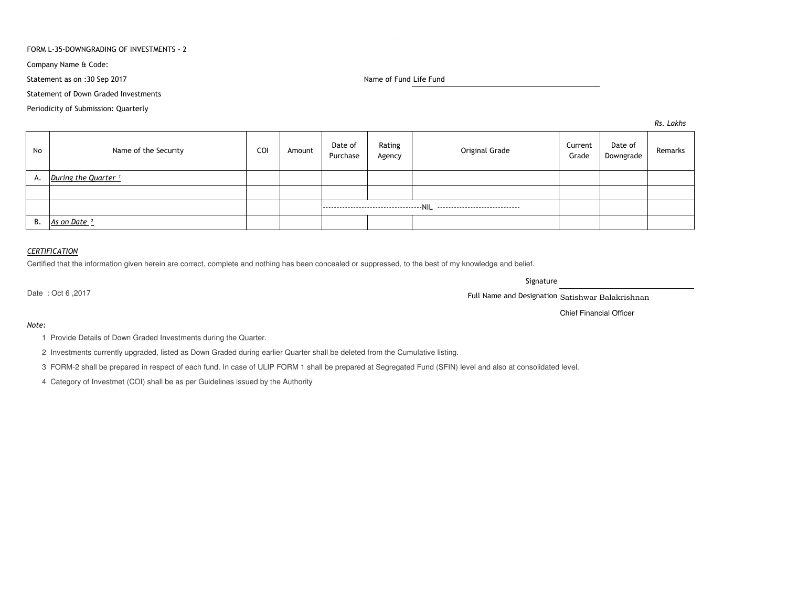### FORM L-35-DOWNGRADING OF INVESTMENTS - 2

Company Name & Code:

Statement as on :30 Sep 2017

Name of Fund Life Fund

Statement of Down Graded Investments

Periodicity of Submission: Quarterly

*Rs. Lakhs*

| No | Name of the Security            | COI | Amount | Date of<br>Purchase | Rating<br>Agency | Original Grade | Current<br>Grade | Date of<br>Downgrade | Remarks |
|----|---------------------------------|-----|--------|---------------------|------------------|----------------|------------------|----------------------|---------|
| А. | During the Quarter <sup>1</sup> |     |        |                     |                  |                |                  |                      |         |
|    |                                 |     |        |                     |                  |                |                  |                      |         |
|    |                                 |     |        |                     |                  |                |                  |                      |         |
| В. | As on Date 2                    |     |        |                     |                  |                |                  |                      |         |

### *CERTIFICATION*

Certified that the information given herein are correct, complete and nothing has been concealed or suppressed, to the best of my knowledge and belief.

Signature

Date : Oct 6 ,2017

Full Name and Designation Satishwar Balakrishnan

Chief Financial Officer

#### *Note:*

1 Provide Details of Down Graded Investments during the Quarter.

2 Investments currently upgraded, listed as Down Graded during earlier Quarter shall be deleted from the Cumulative listing.

3 FORM-2 shall be prepared in respect of each fund. In case of ULIP FORM 1 shall be prepared at Segregated Fund (SFIN) level and also at consolidated level.

4 Category of Investmet (COI) shall be as per Guidelines issued by the Authority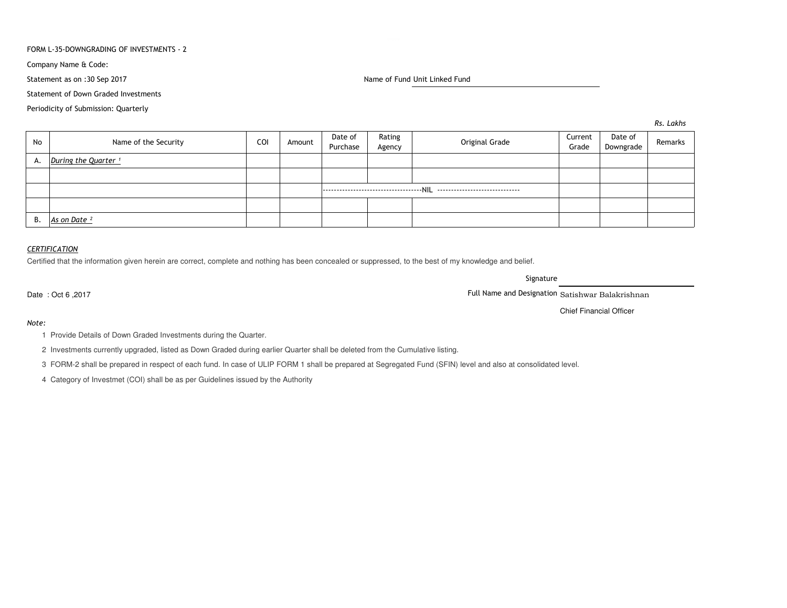### FORM L-35-DOWNGRADING OF INVESTMENTS - 2

Company Name & Code:

Statement as on :30 Sep 2017

Statement of Down Graded Investments

Periodicity of Submission: Quarterly

Name of Fund Unit Linked Fund

*Rs. Lakhs*

| No | Name of the Security            | COI | Amount | Date of<br>Purchase | Rating<br>Agency | Original Grade | Current<br>Grade | Date of<br>Downgrade | Remarks |
|----|---------------------------------|-----|--------|---------------------|------------------|----------------|------------------|----------------------|---------|
| А. | During the Quarter <sup>1</sup> |     |        |                     |                  |                |                  |                      |         |
|    |                                 |     |        |                     |                  |                |                  |                      |         |
|    |                                 |     |        |                     |                  |                |                  |                      |         |
|    |                                 |     |        |                     |                  |                |                  |                      |         |
| B. | As on Date <sup>2</sup>         |     |        |                     |                  |                |                  |                      |         |

## *CERTIFICATION*

Certified that the information given herein are correct, complete and nothing has been concealed or suppressed, to the best of my knowledge and belief.

Signature

Date : Oct 6 ,2017

*Note:*

Full Name and Designation Satishwar Balakrishnan

Chief Financial Officer

1 Provide Details of Down Graded Investments during the Quarter.

2 Investments currently upgraded, listed as Down Graded during earlier Quarter shall be deleted from the Cumulative listing.

3 FORM-2 shall be prepared in respect of each fund. In case of ULIP FORM 1 shall be prepared at Segregated Fund (SFIN) level and also at consolidated level.

4 Category of Investmet (COI) shall be as per Guidelines issued by the Authority